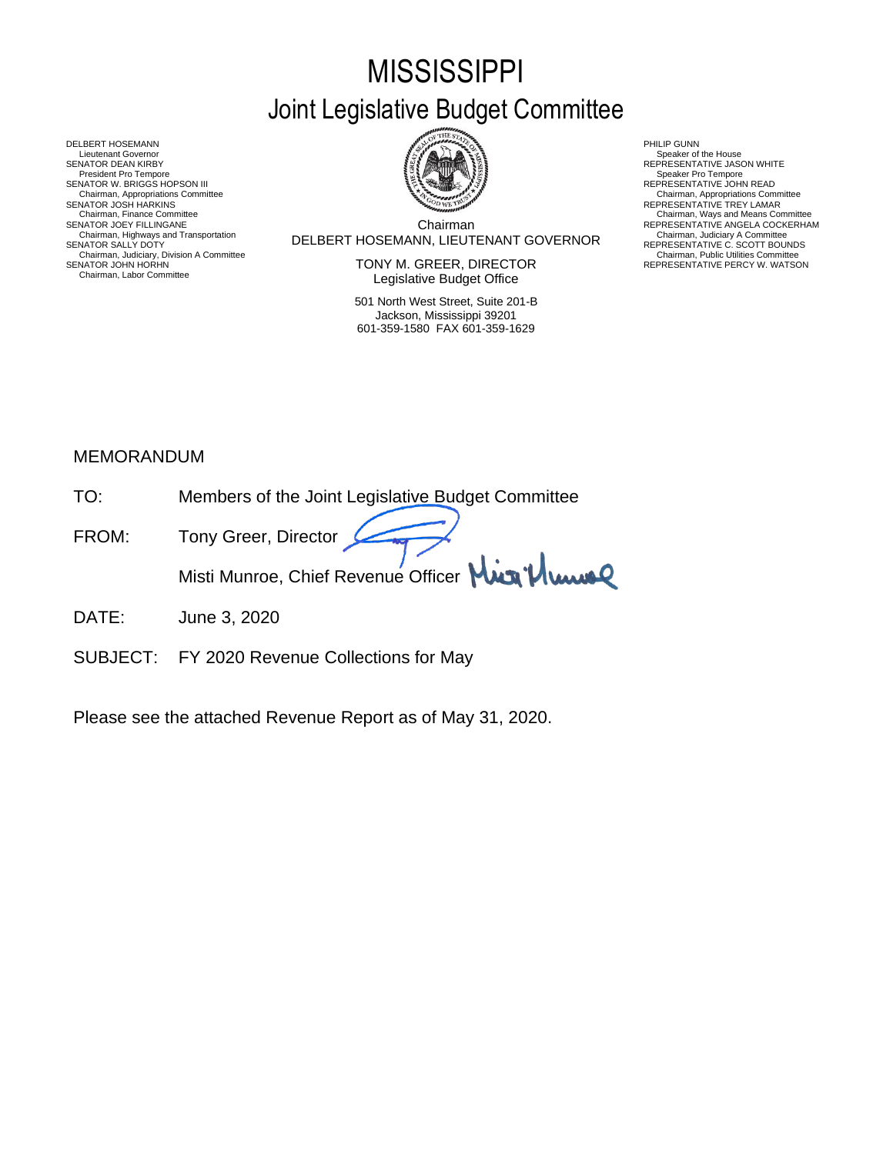# **MISSISSIPPI** Joint Legislative Budget Committee

DELBERT HOSEMANN PHILIP GUNN<br>Lieutenant Governor (Philip Gunn) and the set of the set of the set of the set of the set of the set of the set of the set of the set of the set of the set of the set of the set of the set of t Lieutenant Governor Nine House<br>SENATOR DEAN KIRBY REPRESENTATIVE JASON WHITE<br>President Pro Tempore Speaker Pro Tempore SENATOR W. BRIGGS HOPSON III READ AND READ AND READ AND REPRESENTATIVE JOHN READ Chairman, Appropriations Committee<br>SENATOR JOSH HARKINS<br>Chairman, Finance Committee Chairman, Highways and Transportation<br>SENATOR SALLY DOTY<br>Chairman, Judiciary, Division A Committee<br>Chairman, Judiciary, Division A Committee<br>SENATOR JOHN HORHN Chairman, Labor Committee

Chairman DELBERT HOSEMANN, LIEUTENANT GOVERNOR Chairman, Highways and Transportation Chairman, Judiciary A Committee SENATOR SALLY DOTY REPRESENTATIVE C. SCOTT BOUNDS Chairman, Finance Committee Chairman, Ways and Means Committee Chairman, Ways and Means Committee Chairman Chairman Chairman Chairman Chairman Chairman Chairman Chairman Chairman Chairman Chairman Chairman Chairman Chairma

SENATOR JOHN HORHN NEWSTATIVE PERCY W. WATSON TONY M. GREER, DIRECTOR THE REPRESENTATIVE PERCY W. WATSON Legislative Budget Office

> 501 North West Street, Suite 201-B Jackson, Mississippi 39201 601-359-1580 FAX 601-359-1629

- Chairman, Appropriations Committee<br>REPRESENTATIVE TREY LAMAR
- 
- REPRESENTATIVE ANGELA COCKERHAM<br>Chairman, Judiciary A Committee<br>REPRESENTATIVE C. SCOTT BOUNDS<br>Chairman, Public Utilities Committee<br>REPRESENTATIVE PERCY W. WATSON

## MEMORANDUM

| TO <sup>.</sup> | Members of the Joint Legislative Budget Committee |
|-----------------|---------------------------------------------------|
| FROM:           | Tony Greer, Director                              |
|                 | Misti Munroe, Chief Revenue Officer Min Plume     |

- DATE: June 3, 2020
- SUBJECT: FY 2020 Revenue Collections for May

Please see the attached Revenue Report as of May 31, 2020.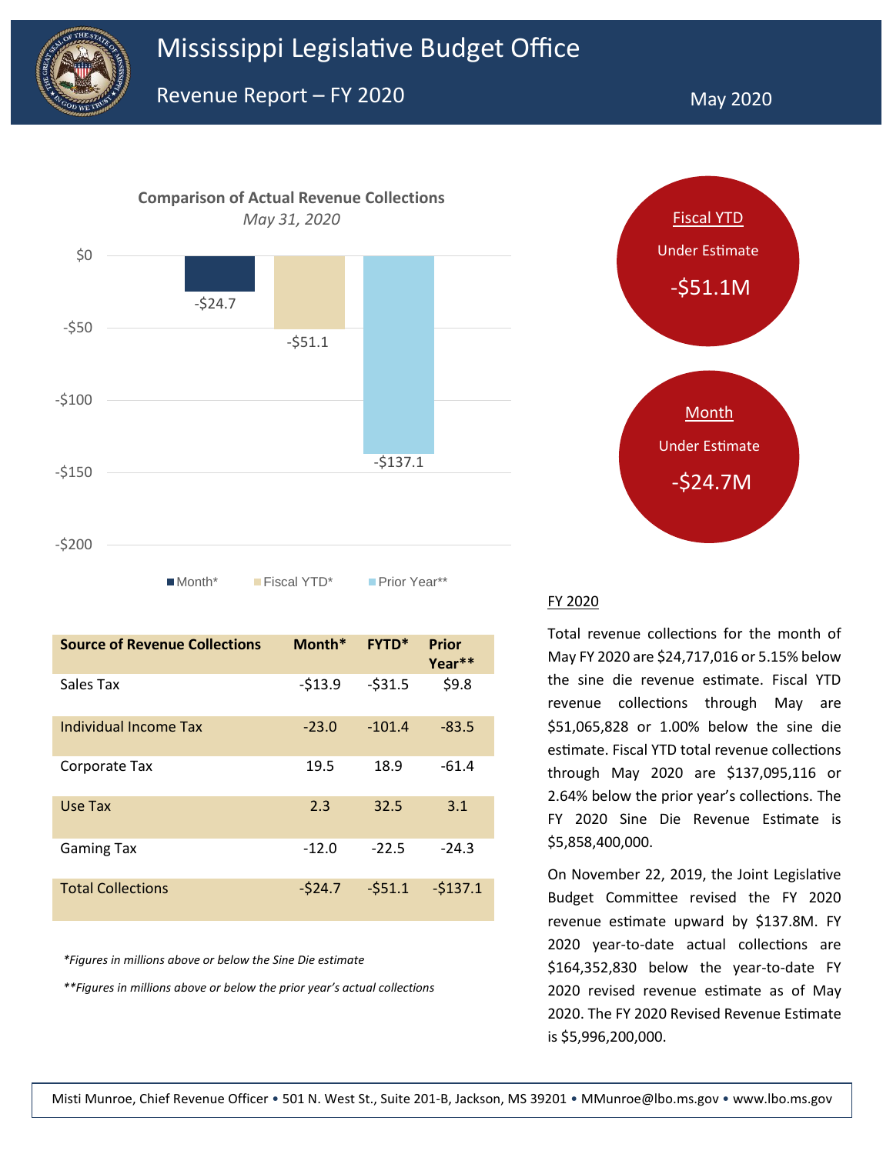



■Month\* Fiscal YTD\* Prior Year\*\*

| <b>Source of Revenue Collections</b> | Month*   | $FYTD*$  | <b>Prior</b>    |
|--------------------------------------|----------|----------|-----------------|
| Sales Tax                            | $-513.9$ | $-531.5$ | Year**<br>\$9.8 |
|                                      |          |          |                 |
| Individual Income Tax                | $-23.0$  | $-101.4$ | $-83.5$         |
| Corporate Tax                        | 19.5     | 18.9     | $-61.4$         |
|                                      |          |          |                 |
| Use Tax                              | 2.3      | 32.5     | 3.1             |
| <b>Gaming Tax</b>                    | $-12.0$  | $-22.5$  | $-24.3$         |
| <b>Total Collections</b>             | $-524.7$ | $-551.1$ | $-5137.1$       |

*\*Figures in millions above or below the Sine Die estimate*

*\*\*Figures in millions above or below the prior year's actual collections*



#### FY 2020

Total revenue collections for the month of May FY 2020 are \$24,717,016 or 5.15% below the sine die revenue estimate. Fiscal YTD revenue collections through May are \$51,065,828 or 1.00% below the sine die estimate. Fiscal YTD total revenue collections through May 2020 are \$137,095,116 or 2.64% below the prior year's collections. The FY 2020 Sine Die Revenue Estimate is \$5,858,400,000.

On November 22, 2019, the Joint Legislative Budget Committee revised the FY 2020 revenue estimate upward by \$137.8M. FY 2020 year-to-date actual collections are \$164,352,830 below the year-to-date FY 2020 revised revenue estimate as of May 2020. The FY 2020 Revised Revenue Estimate is \$5,996,200,000.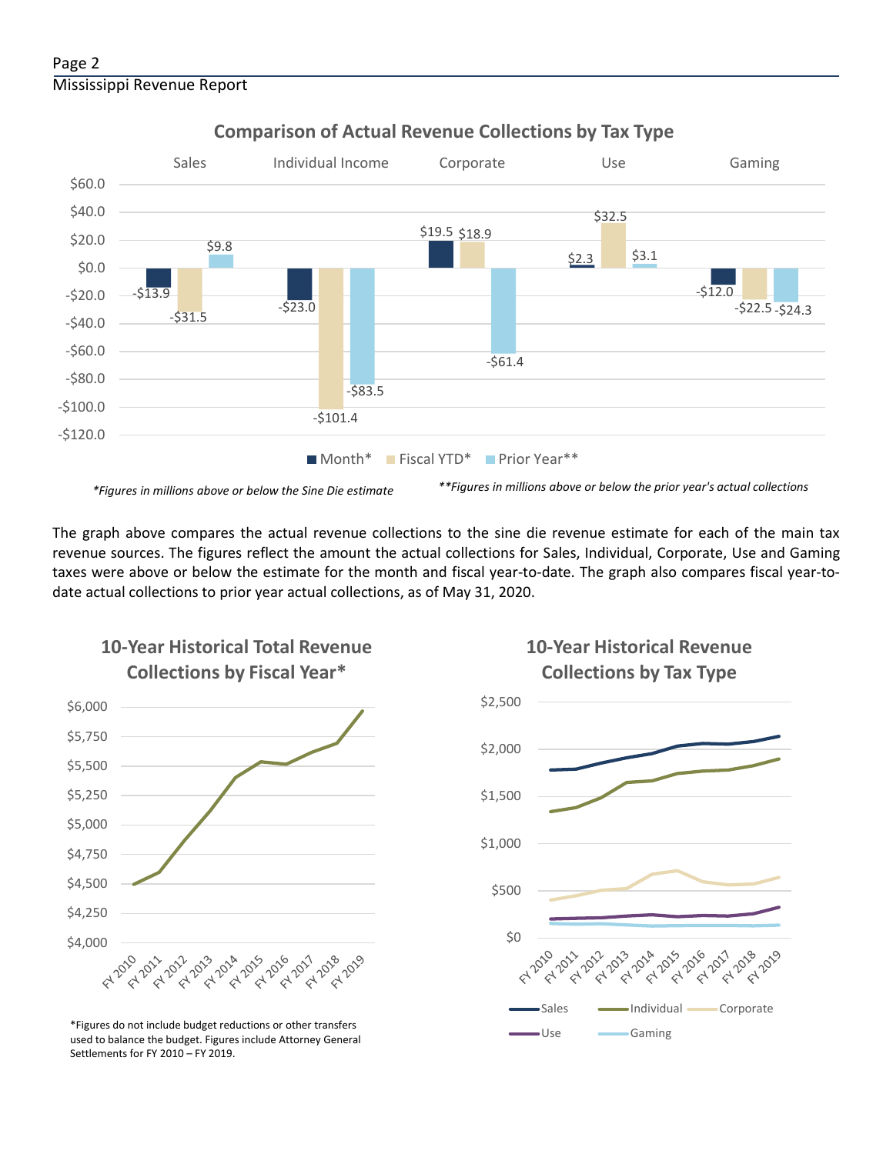

### **Comparison of Actual Revenue Collections by Tax Type**

The graph above compares the actual revenue collections to the sine die revenue estimate for each of the main tax revenue sources. The figures reflect the amount the actual collections for Sales, Individual, Corporate, Use and Gaming taxes were above or below the estimate for the month and fiscal year-to-date. The graph also compares fiscal year-todate actual collections to prior year actual collections, as of May 31, 2020.



**10-Year Historical Total Revenue** 

Use Gaming \*Figures do not include budget reductions or other transfers used to balance the budget. Figures include Attorney General Settlements for FY 2010 – FY 2019.



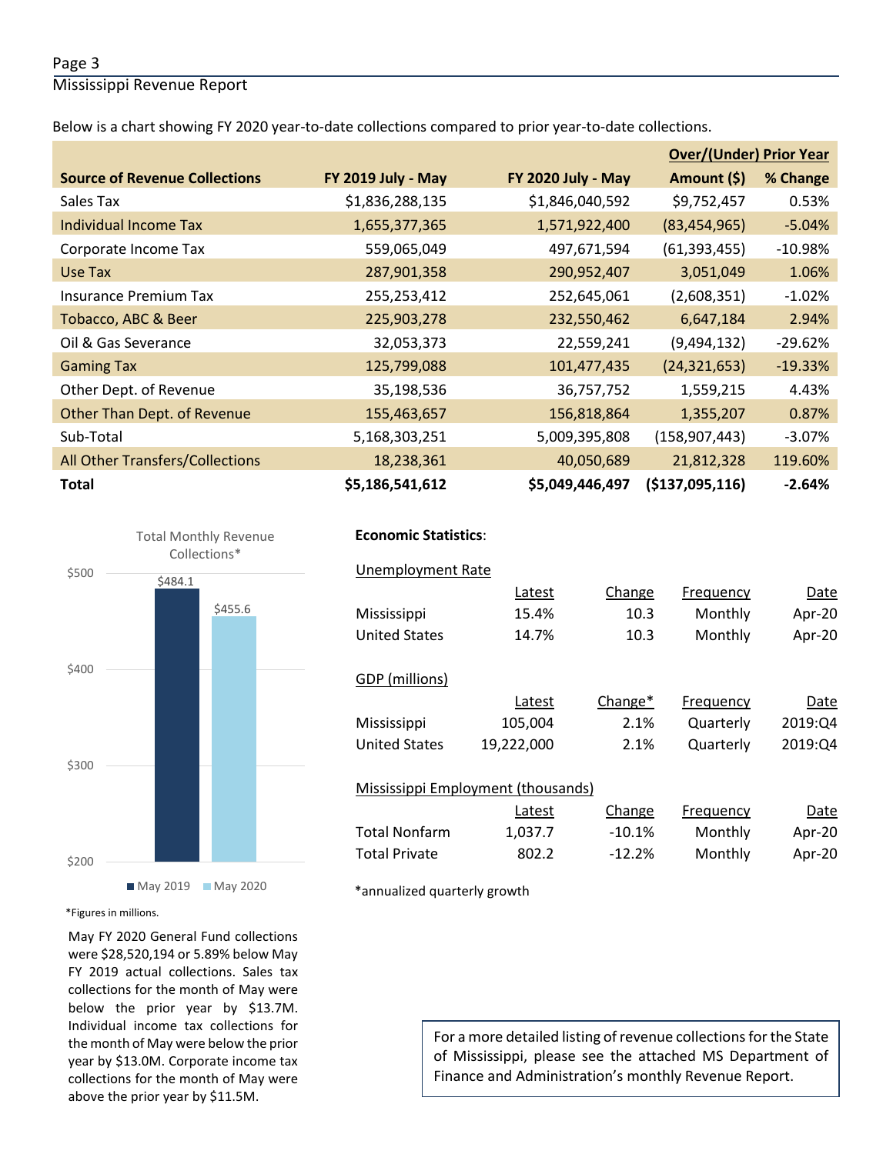#### Page 3

Mississippi Revenue Report

Below is a chart showing FY 2020 year-to-date collections compared to prior year-to-date collections.

|                                        |                    |                           | <b>Over/(Under) Prior Year</b> |           |  |
|----------------------------------------|--------------------|---------------------------|--------------------------------|-----------|--|
| <b>Source of Revenue Collections</b>   | FY 2019 July - May | <b>FY 2020 July - May</b> | Amount (\$)                    | % Change  |  |
| Sales Tax                              | \$1,836,288,135    | \$1,846,040,592           | \$9,752,457                    | 0.53%     |  |
| Individual Income Tax                  | 1,655,377,365      | 1,571,922,400             | (83, 454, 965)                 | $-5.04%$  |  |
| Corporate Income Tax                   | 559,065,049        | 497,671,594               | (61, 393, 455)                 | $-10.98%$ |  |
| Use Tax                                | 287,901,358        | 290,952,407               | 3,051,049                      | 1.06%     |  |
| <b>Insurance Premium Tax</b>           | 255,253,412        | 252,645,061               | (2,608,351)                    | $-1.02%$  |  |
| Tobacco, ABC & Beer                    | 225,903,278        | 232,550,462               | 6,647,184                      | 2.94%     |  |
| Oil & Gas Severance                    | 32,053,373         | 22,559,241                | (9,494,132)                    | $-29.62%$ |  |
| <b>Gaming Tax</b>                      | 125,799,088        | 101,477,435               | (24, 321, 653)                 | $-19.33%$ |  |
| Other Dept. of Revenue                 | 35,198,536         | 36,757,752                | 1,559,215                      | 4.43%     |  |
| Other Than Dept. of Revenue            | 155,463,657        | 156,818,864               | 1,355,207                      | 0.87%     |  |
| Sub-Total                              | 5,168,303,251      | 5,009,395,808             | (158, 907, 443)                | $-3.07%$  |  |
| <b>All Other Transfers/Collections</b> | 18,238,361         | 40,050,689                | 21,812,328                     | 119.60%   |  |
| <b>Total</b>                           | \$5,186,541,612    | \$5,049,446,497           | ( \$137,095,116)               | $-2.64%$  |  |



#### **Economic Statistics**:  **Economic Statistics**:

| <b>Unemployment Rate</b>           |            |          |           |         |
|------------------------------------|------------|----------|-----------|---------|
|                                    | Latest     | Change   | Frequency | Date    |
| Mississippi                        | 15.4%      | 10.3     | Monthly   | Apr-20  |
| <b>United States</b>               | 14.7%      | 10.3     | Monthly   | Apr-20  |
|                                    |            |          |           |         |
| GDP (millions)                     |            |          |           |         |
|                                    | Latest     | Change*  | Frequency | Date    |
| Mississippi                        | 105,004    | 2.1%     | Quarterly | 2019:Q4 |
| <b>United States</b>               | 19,222,000 | 2.1%     | Quarterly | 2019:Q4 |
|                                    |            |          |           |         |
| Mississippi Employment (thousands) |            |          |           |         |
|                                    | Latest     | Change   | Frequency | Date    |
| <b>Total Nonfarm</b>               | 1,037.7    | $-10.1%$ | Monthly   | Apr-20  |
| <b>Total Private</b>               | 802.2      | $-12.2%$ | Monthly   | Apr-20  |
|                                    |            |          |           |         |

\*annualized quarterly growth

\*Figures in millions.

May FY 2020 General Fund collections were \$28,520,194 or 5.89% below May FY 2019 actual collections. Sales tax collections for the month of May were below the prior year by \$13.7M. Individual income tax collections for the month of May were below the prior year by \$13.0M. Corporate income tax collections for the month of May were above the prior year by \$11.5M.

For a more detailed listing of revenue collections for the State of Mississippi, please see the attached MS Department of Finance and Administration's monthly Revenue Report.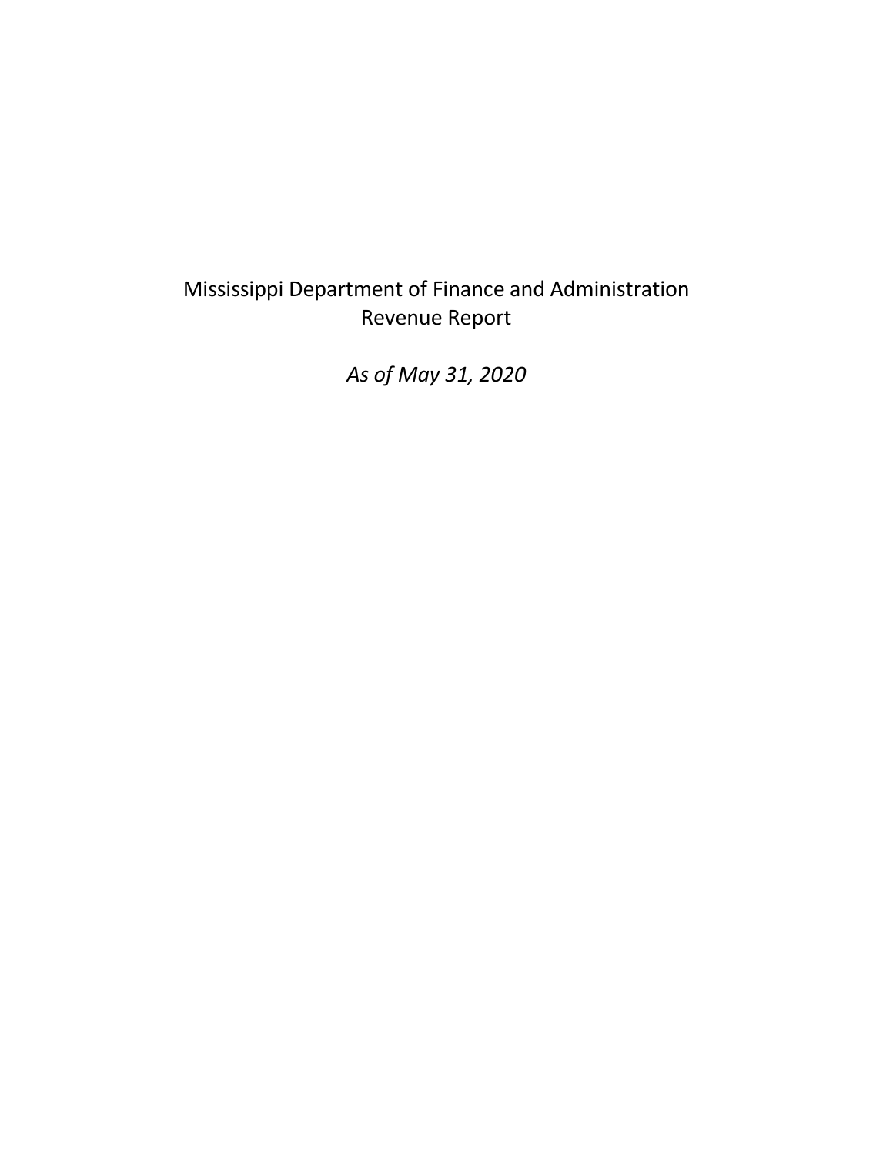# Mississippi Department of Finance and Administration Revenue Report

*As of May 31, 2020*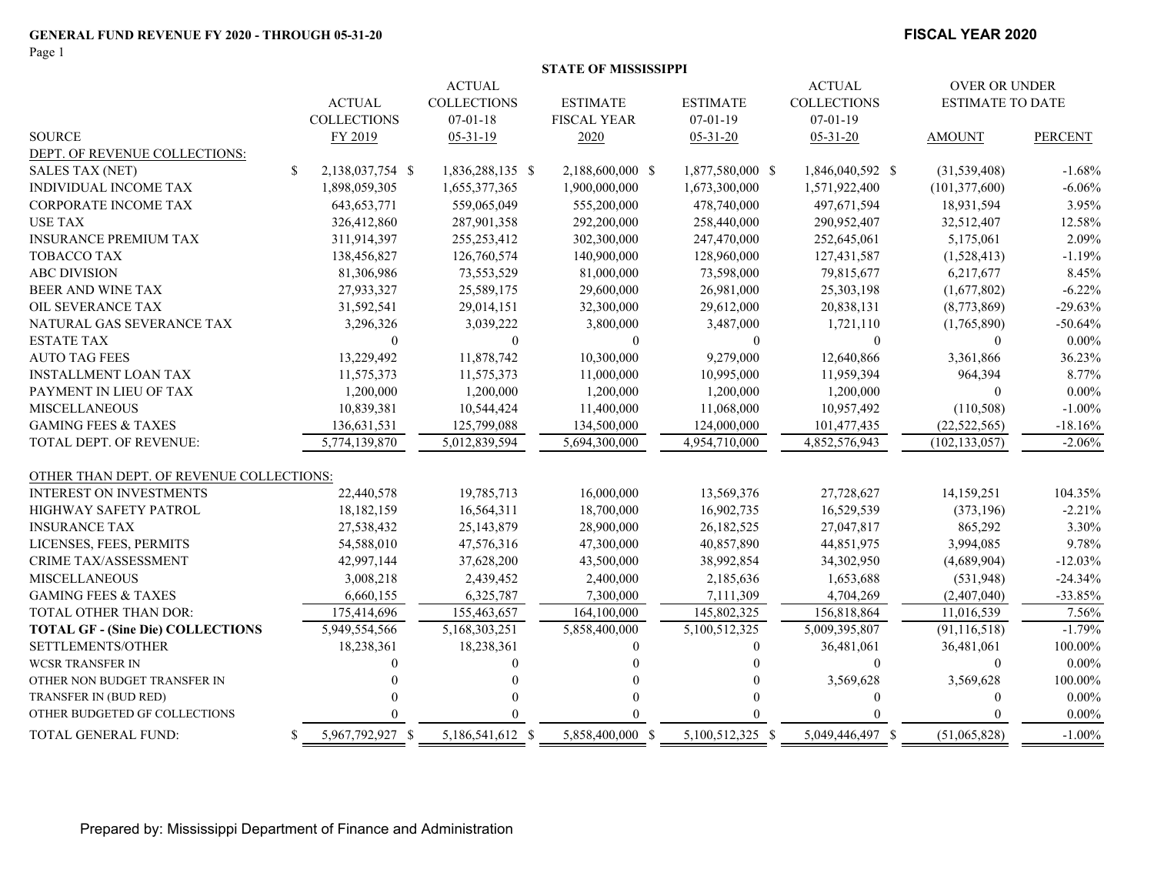Page 1

#### **STATE OF MISSISSIPPI**

|                                          |     |                    | <b>ACTUAL</b>      |          |                    |                  | <b>ACTUAL</b>      | <b>OVER OR UNDER</b>    |                |
|------------------------------------------|-----|--------------------|--------------------|----------|--------------------|------------------|--------------------|-------------------------|----------------|
|                                          |     | <b>ACTUAL</b>      | <b>COLLECTIONS</b> |          | <b>ESTIMATE</b>    | <b>ESTIMATE</b>  | <b>COLLECTIONS</b> | <b>ESTIMATE TO DATE</b> |                |
|                                          |     | <b>COLLECTIONS</b> | $07 - 01 - 18$     |          | <b>FISCAL YEAR</b> | $07 - 01 - 19$   | $07 - 01 - 19$     |                         |                |
| <b>SOURCE</b>                            |     | FY 2019            | $05 - 31 - 19$     |          | 2020               | $05 - 31 - 20$   | $05 - 31 - 20$     | <b>AMOUNT</b>           | <b>PERCENT</b> |
| DEPT. OF REVENUE COLLECTIONS:            |     |                    |                    |          |                    |                  |                    |                         |                |
| <b>SALES TAX (NET)</b>                   | \$  | 2,138,037,754 \$   | 1,836,288,135 \$   |          | 2,188,600,000 \$   | 1,877,580,000 \$ | 1,846,040,592 \$   | (31, 539, 408)          | $-1.68%$       |
| INDIVIDUAL INCOME TAX                    |     | 1,898,059,305      | 1,655,377,365      |          | 1,900,000,000      | 1,673,300,000    | 1,571,922,400      | (101, 377, 600)         | $-6.06%$       |
| <b>CORPORATE INCOME TAX</b>              |     | 643, 653, 771      | 559,065,049        |          | 555,200,000        | 478,740,000      | 497,671,594        | 18,931,594              | 3.95%          |
| <b>USE TAX</b>                           |     | 326,412,860        | 287,901,358        |          | 292,200,000        | 258,440,000      | 290,952,407        | 32,512,407              | 12.58%         |
| <b>INSURANCE PREMIUM TAX</b>             |     | 311,914,397        | 255, 253, 412      |          | 302,300,000        | 247,470,000      | 252,645,061        | 5,175,061               | 2.09%          |
| TOBACCO TAX                              |     | 138,456,827        | 126,760,574        |          | 140,900,000        | 128,960,000      | 127,431,587        | (1,528,413)             | $-1.19%$       |
| <b>ABC DIVISION</b>                      |     | 81,306,986         | 73,553,529         |          | 81,000,000         | 73,598,000       | 79,815,677         | 6,217,677               | 8.45%          |
| BEER AND WINE TAX                        |     | 27,933,327         | 25,589,175         |          | 29,600,000         | 26,981,000       | 25,303,198         | (1,677,802)             | $-6.22%$       |
| OIL SEVERANCE TAX                        |     | 31,592,541         | 29,014,151         |          | 32,300,000         | 29,612,000       | 20,838,131         | (8,773,869)             | $-29.63%$      |
| NATURAL GAS SEVERANCE TAX                |     | 3,296,326          | 3,039,222          |          | 3,800,000          | 3,487,000        | 1,721,110          | (1,765,890)             | $-50.64%$      |
| <b>ESTATE TAX</b>                        |     | $\theta$           |                    | $\Omega$ | $\theta$           | $\Omega$         | $\mathbf{0}$       | $\theta$                | $0.00\%$       |
| <b>AUTO TAG FEES</b>                     |     | 13,229,492         | 11,878,742         |          | 10,300,000         | 9,279,000        | 12,640,866         | 3,361,866               | 36.23%         |
| <b>INSTALLMENT LOAN TAX</b>              |     | 11,575,373         | 11,575,373         |          | 11,000,000         | 10,995,000       | 11,959,394         | 964,394                 | 8.77%          |
| PAYMENT IN LIEU OF TAX                   |     | 1,200,000          | 1,200,000          |          | 1,200,000          | 1,200,000        | 1,200,000          | $\Omega$                | $0.00\%$       |
| <b>MISCELLANEOUS</b>                     |     | 10,839,381         | 10,544,424         |          | 11,400,000         | 11,068,000       | 10,957,492         | (110, 508)              | $-1.00%$       |
| <b>GAMING FEES &amp; TAXES</b>           |     | 136,631,531        | 125,799,088        |          | 134,500,000        | 124,000,000      | 101,477,435        | (22, 522, 565)          | $-18.16%$      |
| <b>TOTAL DEPT. OF REVENUE:</b>           |     | 5,774,139,870      | 5,012,839,594      |          | 5,694,300,000      | 4,954,710,000    | 4,852,576,943      | (102, 133, 057)         | $-2.06%$       |
| OTHER THAN DEPT. OF REVENUE COLLECTIONS: |     |                    |                    |          |                    |                  |                    |                         |                |
| <b>INTEREST ON INVESTMENTS</b>           |     | 22,440,578         | 19,785,713         |          | 16,000,000         | 13,569,376       | 27,728,627         | 14,159,251              | 104.35%        |
| <b>HIGHWAY SAFETY PATROL</b>             |     | 18,182,159         | 16,564,311         |          | 18,700,000         | 16,902,735       | 16,529,539         | (373, 196)              | $-2.21%$       |
| <b>INSURANCE TAX</b>                     |     | 27,538,432         | 25,143,879         |          | 28,900,000         | 26,182,525       | 27,047,817         | 865,292                 | 3.30%          |
| LICENSES, FEES, PERMITS                  |     | 54,588,010         | 47,576,316         |          | 47,300,000         | 40,857,890       | 44,851,975         | 3,994,085               | 9.78%          |
| <b>CRIME TAX/ASSESSMENT</b>              |     | 42,997,144         | 37,628,200         |          | 43,500,000         | 38,992,854       | 34,302,950         | (4,689,904)             | $-12.03%$      |
| <b>MISCELLANEOUS</b>                     |     | 3,008,218          | 2,439,452          |          | 2,400,000          | 2,185,636        | 1,653,688          | (531,948)               | $-24.34%$      |
| <b>GAMING FEES &amp; TAXES</b>           |     | 6,660,155          | 6,325,787          |          | 7,300,000          | 7,111,309        | 4,704,269          | (2,407,040)             | $-33.85%$      |
| TOTAL OTHER THAN DOR:                    |     | 175,414,696        | 155,463,657        |          | 164,100,000        | 145,802,325      | 156,818,864        | 11,016,539              | 7.56%          |
| <b>TOTAL GF - (Sine Die) COLLECTIONS</b> |     | 5,949,554,566      | 5,168,303,251      |          | 5,858,400,000      | 5,100,512,325    | 5,009,395,807      | (91, 116, 518)          | $-1.79%$       |
| SETTLEMENTS/OTHER                        |     | 18,238,361         | 18,238,361         |          | $\Omega$           | $\theta$         | 36,481,061         | 36,481,061              | 100.00%        |
| <b>WCSR TRANSFER IN</b>                  |     |                    |                    | $\Omega$ |                    |                  | $\theta$           | $\Omega$                | $0.00\%$       |
| OTHER NON BUDGET TRANSFER IN             |     |                    |                    |          |                    |                  | 3,569,628          | 3,569,628               | 100.00%        |
| TRANSFER IN (BUD RED)                    |     |                    |                    |          |                    |                  | $\theta$           | $\theta$                | $0.00\%$       |
| OTHER BUDGETED GF COLLECTIONS            |     |                    |                    |          |                    |                  |                    |                         | $0.00\%$       |
| TOTAL GENERAL FUND:                      | \$. | 5,967,792,927 \$   | 5,186,541,612 \$   |          | 5,858,400,000 \$   | 5,100,512,325 \$ | 5,049,446,497 \$   | (51,065,828)            | $-1.00%$       |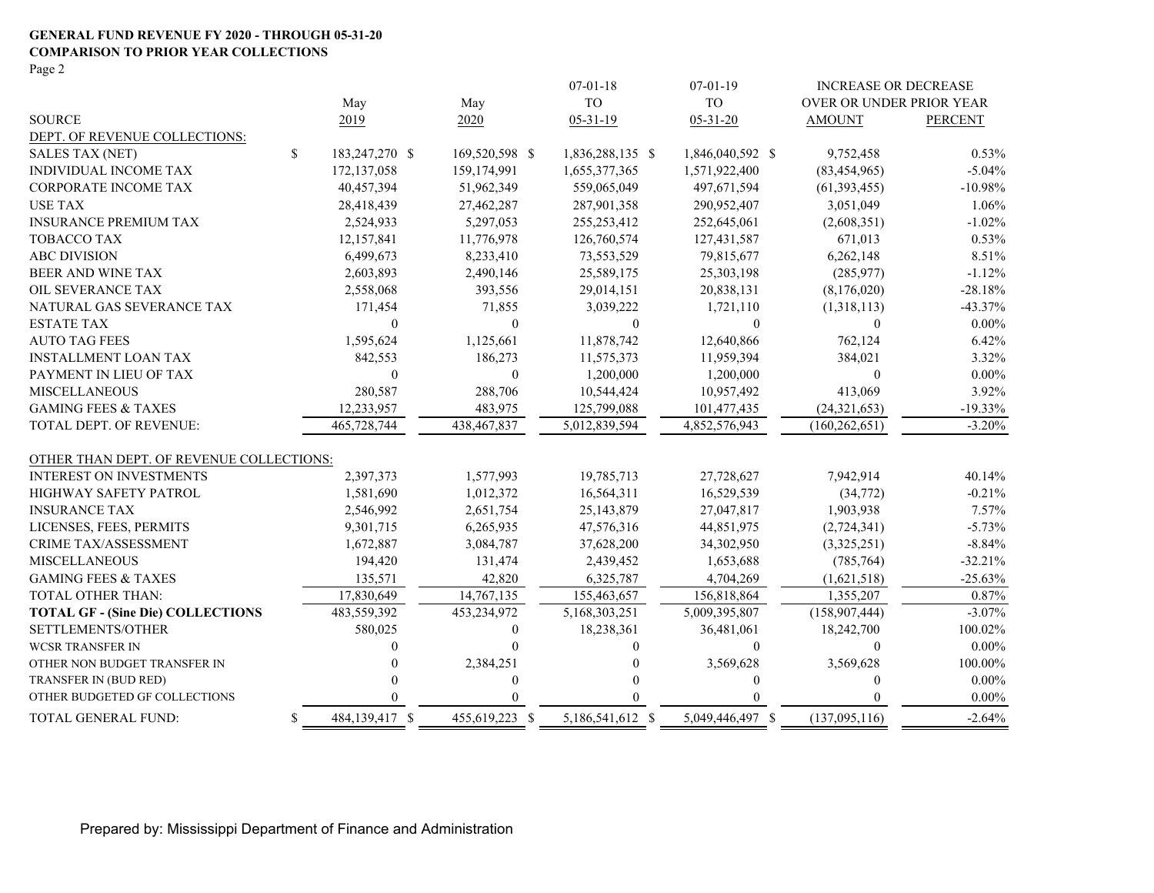#### **GENERAL FUND REVENUE FY 2020 - THROUGH 05-31-20 COMPARISON TO PRIOR YEAR COLLECTIONS**

Page 2

|                                          |    |                |                  | $07 - 01 - 18$   | $07-01-19$       | INCREASE OR DECREASE     |                |
|------------------------------------------|----|----------------|------------------|------------------|------------------|--------------------------|----------------|
|                                          |    | May            | May              | <b>TO</b>        | <b>TO</b>        | OVER OR UNDER PRIOR YEAR |                |
| <b>SOURCE</b>                            |    | 2019           | 2020             | $05 - 31 - 19$   | $05 - 31 - 20$   | <b>AMOUNT</b>            | <b>PERCENT</b> |
| DEPT. OF REVENUE COLLECTIONS:            |    |                |                  |                  |                  |                          |                |
| <b>SALES TAX (NET)</b>                   | \$ | 183,247,270 \$ | 169,520,598 \$   | 1,836,288,135 \$ | 1,846,040,592 \$ | 9,752,458                | $0.53\%$       |
| INDIVIDUAL INCOME TAX                    |    | 172,137,058    | 159,174,991      | 1,655,377,365    | 1,571,922,400    | (83, 454, 965)           | $-5.04%$       |
| <b>CORPORATE INCOME TAX</b>              |    | 40,457,394     | 51,962,349       | 559,065,049      | 497,671,594      | (61, 393, 455)           | $-10.98%$      |
| <b>USE TAX</b>                           |    | 28,418,439     | 27,462,287       | 287,901,358      | 290,952,407      | 3,051,049                | 1.06%          |
| <b>INSURANCE PREMIUM TAX</b>             |    | 2,524,933      | 5,297,053        | 255, 253, 412    | 252,645,061      | (2,608,351)              | $-1.02%$       |
| <b>TOBACCO TAX</b>                       |    | 12,157,841     | 11,776,978       | 126,760,574      | 127,431,587      | 671,013                  | $0.53\%$       |
| <b>ABC DIVISION</b>                      |    | 6,499,673      | 8,233,410        | 73,553,529       | 79,815,677       | 6,262,148                | 8.51%          |
| BEER AND WINE TAX                        |    | 2,603,893      | 2,490,146        | 25,589,175       | 25,303,198       | (285,977)                | $-1.12%$       |
| OIL SEVERANCE TAX                        |    | 2,558,068      | 393,556          | 29,014,151       | 20,838,131       | (8,176,020)              | $-28.18%$      |
| NATURAL GAS SEVERANCE TAX                |    | 171,454        | 71,855           | 3,039,222        | 1,721,110        | (1,318,113)              | $-43.37%$      |
| <b>ESTATE TAX</b>                        |    | $\theta$       | $\theta$         | $\mathbf{0}$     | $\theta$         | $\theta$                 | $0.00\%$       |
| <b>AUTO TAG FEES</b>                     |    | 1,595,624      | 1,125,661        | 11,878,742       | 12,640,866       | 762,124                  | 6.42%          |
| <b>INSTALLMENT LOAN TAX</b>              |    | 842,553        | 186,273          | 11,575,373       | 11,959,394       | 384,021                  | 3.32%          |
| PAYMENT IN LIEU OF TAX                   |    | $\mathbf{0}$   | $\boldsymbol{0}$ | 1,200,000        | 1,200,000        | $\theta$                 | $0.00\%$       |
| <b>MISCELLANEOUS</b>                     |    | 280,587        | 288,706          | 10,544,424       | 10,957,492       | 413,069                  | 3.92%          |
| <b>GAMING FEES &amp; TAXES</b>           |    | 12,233,957     | 483,975          | 125,799,088      | 101,477,435      | (24,321,653)             | $-19.33%$      |
| TOTAL DEPT. OF REVENUE:                  |    | 465,728,744    | 438,467,837      | 5,012,839,594    | 4,852,576,943    | (160, 262, 651)          | $-3.20%$       |
| OTHER THAN DEPT. OF REVENUE COLLECTIONS: |    |                |                  |                  |                  |                          |                |
| INTEREST ON INVESTMENTS                  |    | 2,397,373      | 1,577,993        | 19,785,713       | 27,728,627       | 7,942,914                | 40.14%         |
| HIGHWAY SAFETY PATROL                    |    | 1,581,690      | 1,012,372        | 16,564,311       | 16,529,539       | (34,772)                 | $-0.21%$       |
| <b>INSURANCE TAX</b>                     |    | 2,546,992      | 2,651,754        | 25,143,879       | 27,047,817       | 1,903,938                | 7.57%          |
| LICENSES, FEES, PERMITS                  |    | 9,301,715      | 6,265,935        | 47,576,316       | 44,851,975       | (2,724,341)              | $-5.73%$       |
| CRIME TAX/ASSESSMENT                     |    | 1,672,887      | 3,084,787        | 37,628,200       | 34,302,950       | (3,325,251)              | $-8.84%$       |
| <b>MISCELLANEOUS</b>                     |    | 194,420        | 131,474          | 2,439,452        | 1,653,688        | (785,764)                | $-32.21%$      |
| <b>GAMING FEES &amp; TAXES</b>           |    | 135,571        | 42,820           | 6,325,787        | 4.704.269        | (1,621,518)              | $-25.63%$      |
| TOTAL OTHER THAN:                        |    | 17,830,649     | 14,767,135       | 155,463,657      | 156,818,864      | 1,355,207                | 0.87%          |
| <b>TOTAL GF - (Sine Die) COLLECTIONS</b> |    | 483,559,392    | 453,234,972      | 5,168,303,251    | 5,009,395,807    | (158, 907, 444)          | $-3.07\%$      |
| <b>SETTLEMENTS/OTHER</b>                 |    | 580,025        | $\Omega$         | 18,238,361       | 36,481,061       | 18,242,700               | 100.02%        |
| <b>WCSR TRANSFER IN</b>                  |    | 0              | $\Omega$         | $\Omega$         | $\theta$         | $\Omega$                 | $0.00\%$       |
| OTHER NON BUDGET TRANSFER IN             |    |                | 2,384,251        |                  | 3,569,628        | 3,569,628                | 100.00%        |
| TRANSFER IN (BUD RED)                    |    |                | $\theta$         |                  | $\theta$         | $\Omega$                 | $0.00\%$       |
| OTHER BUDGETED GF COLLECTIONS            |    |                |                  |                  |                  | $\Omega$                 | $0.00\%$       |
| TOTAL GENERAL FUND:                      | S  | 484,139,417 \$ | 455,619,223 \$   | 5,186,541,612 \$ | 5,049,446,497 \$ | (137,095,116)            | $-2.64%$       |